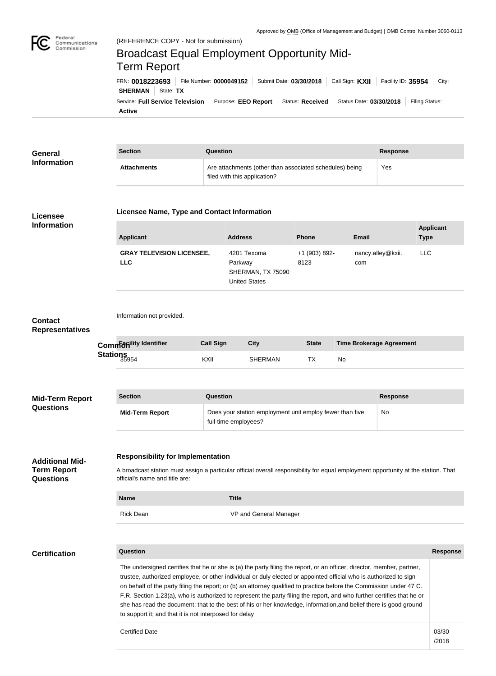

Federal

## Communications Commission Broadcast Equal Employment Opportunity Mid-Term ReportFRN: **0018223693** File Number: **0000049152** Submit Date: **03/30/2018** Call Sign: **KXII** Facility ID: **35954** City: **SHERMAN** | State: TX Service: **Full Service Television** Purpose: **EEO Report** Status: **Received** Status Date: 03/30/2018 Filing Status: **Active**

| General<br><b>Information</b> | <b>Section</b>     | Question                                                                                | Response |
|-------------------------------|--------------------|-----------------------------------------------------------------------------------------|----------|
|                               | <b>Attachments</b> | Are attachments (other than associated schedules) being<br>filed with this application? | Yes      |

## **Licensee Information**

## **Licensee Name, Type and Contact Information**

| Applicant                                      | <b>Address</b>                                                      | <b>Phone</b>          | Email                    | <b>Applicant</b><br><b>Type</b> |
|------------------------------------------------|---------------------------------------------------------------------|-----------------------|--------------------------|---------------------------------|
| <b>GRAY TELEVISION LICENSEE,</b><br><b>LLC</b> | 4201 Texoma<br>Parkway<br>SHERMAN, TX 75090<br><b>United States</b> | +1 (903) 892-<br>8123 | nancy.alley@kxii.<br>com | LLC.                            |

## Information not provided. **Call Sign City City State Time Brokerage Agreement** KXII SHERMAN TX No **Section Question Response Mid-Term Report** Does your station employment unit employ fewer than five full-time employees? No **Responsibility for Implementation** A broadcast station must assign a particular official overall responsibility for equal employment opportunity at the station. That official's name and title are: **Name Title** Rick Dean VP and General Manager **Question Response** The undersigned certifies that he or she is (a) the party filing the report, or an officer, director, member, partner, **Certification Additional Mid-Term Report Questions Mid-Term Report Questions Common**  *Common* **Common** Stations<sub>35954</sub> **Contact Representatives**

trustee, authorized employee, or other individual or duly elected or appointed official who is authorized to sign on behalf of the party filing the report; or (b) an attorney qualified to practice before the Commission under 47 C. F.R. Section 1.23(a), who is authorized to represent the party filing the report, and who further certifies that he or she has read the document; that to the best of his or her knowledge, information,and belief there is good ground to support it; and that it is not interposed for delay

Certified Date and the contract of the contract of the contract of the contract of the contract of the contract of the contract of the contract of the contract of the contract of the contract of the contract of the contrac

**Applicant** 

<sup>/2018</sup>